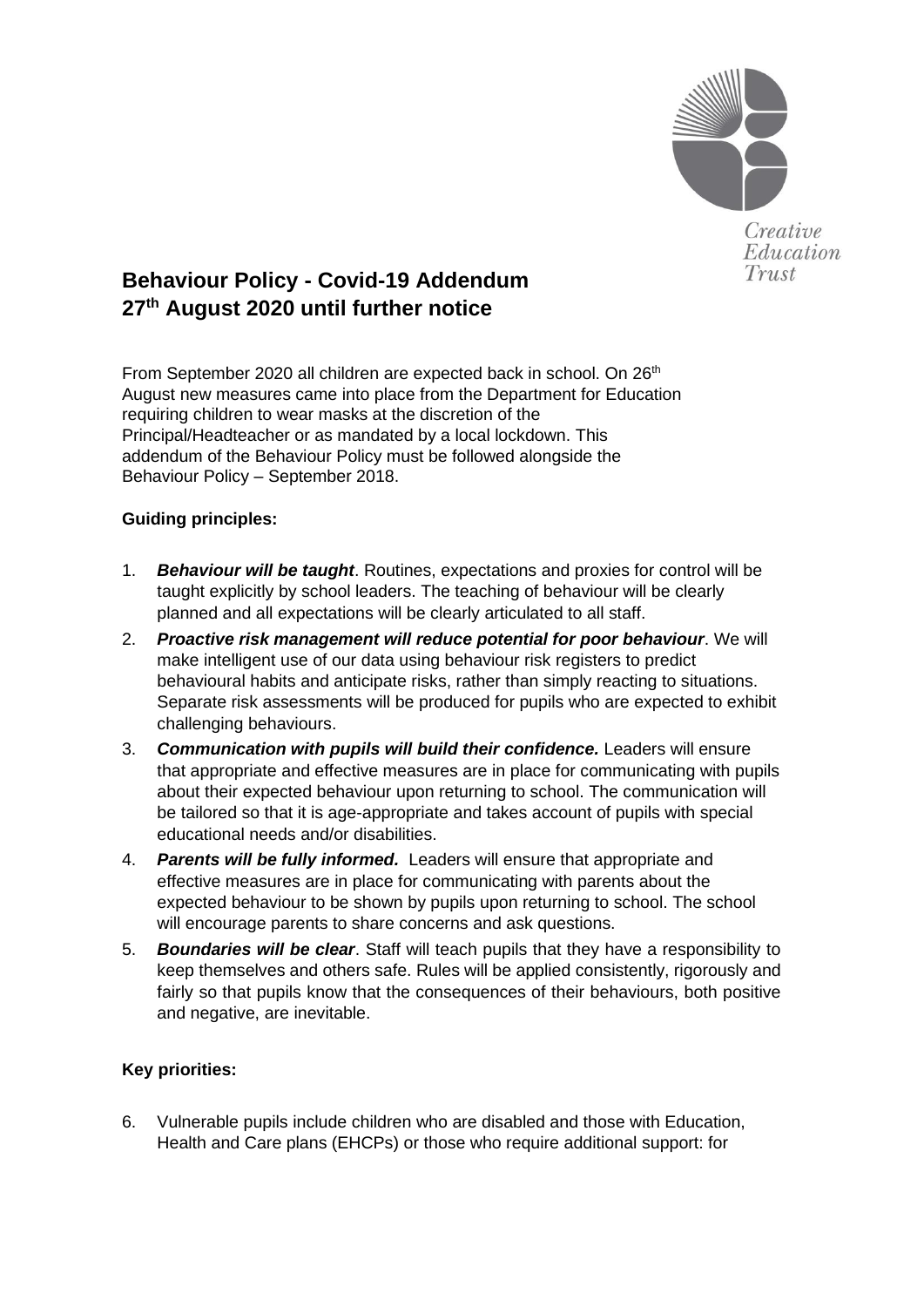

Creative Education Trust

# **Behaviour Policy - Covid-19 Addendum 27th August 2020 until further notice**

From September 2020 all children are expected back in school. On 26<sup>th</sup> August new measures came into place from the Department for Education requiring children to wear masks at the discretion of the Principal/Headteacher or as mandated by a local lockdown. This addendum of the Behaviour Policy must be followed alongside the Behaviour Policy – September 2018.

# **Guiding principles:**

- 1. *Behaviour will be taught*. Routines, expectations and proxies for control will be taught explicitly by school leaders. The teaching of behaviour will be clearly planned and all expectations will be clearly articulated to all staff.
- 2. *Proactive risk management will reduce potential for poor behaviour*. We will make intelligent use of our data using behaviour risk registers to predict behavioural habits and anticipate risks, rather than simply reacting to situations. Separate risk assessments will be produced for pupils who are expected to exhibit challenging behaviours.
- 3. *Communication with pupils will build their confidence.* Leaders will ensure that appropriate and effective measures are in place for communicating with pupils about their expected behaviour upon returning to school. The communication will be tailored so that it is age-appropriate and takes account of pupils with special educational needs and/or disabilities.
- 4. *Parents will be fully informed.* Leaders will ensure that appropriate and effective measures are in place for communicating with parents about the expected behaviour to be shown by pupils upon returning to school. The school will encourage parents to share concerns and ask questions.
- 5. *Boundaries will be clear*. Staff will teach pupils that they have a responsibility to keep themselves and others safe. Rules will be applied consistently, rigorously and fairly so that pupils know that the consequences of their behaviours, both positive and negative, are inevitable.

# **Key priorities:**

6. Vulnerable pupils include children who are disabled and those with Education, Health and Care plans (EHCPs) or those who require additional support: for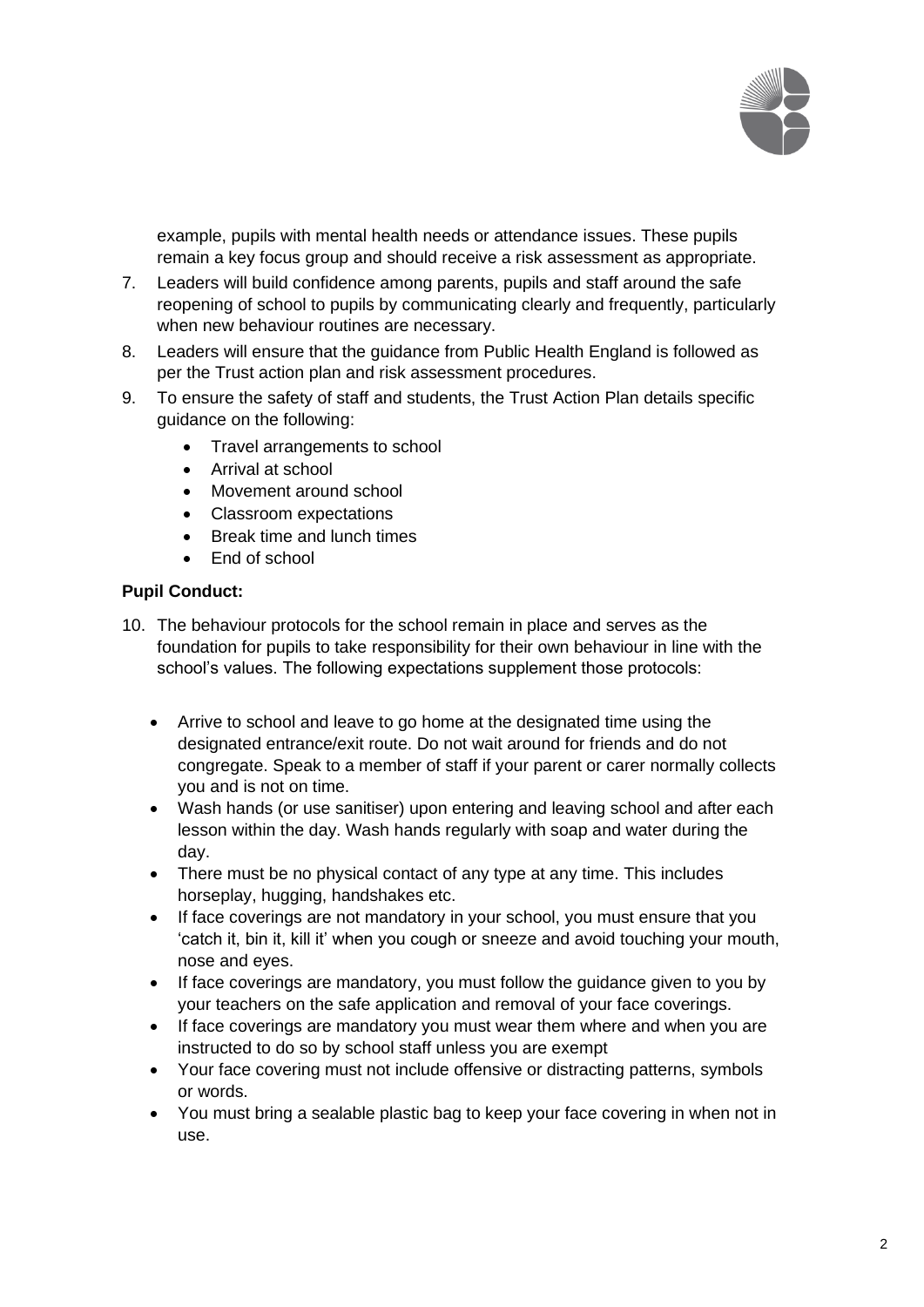

example, pupils with mental health needs or attendance issues. These pupils remain a key focus group and should receive a risk assessment as appropriate.

- 7. Leaders will build confidence among parents, pupils and staff around the safe reopening of school to pupils by communicating clearly and frequently, particularly when new behaviour routines are necessary.
- 8. Leaders will ensure that the guidance from Public Health England is followed as per the Trust action plan and risk assessment procedures.
- 9. To ensure the safety of staff and students, the Trust Action Plan details specific guidance on the following:
	- Travel arrangements to school
	- Arrival at school
	- Movement around school
	- Classroom expectations
	- Break time and lunch times
	- End of school

#### **Pupil Conduct:**

- 10. The behaviour protocols for the school remain in place and serves as the foundation for pupils to take responsibility for their own behaviour in line with the school's values. The following expectations supplement those protocols:
	- Arrive to school and leave to go home at the designated time using the designated entrance/exit route. Do not wait around for friends and do not congregate. Speak to a member of staff if your parent or carer normally collects you and is not on time.
	- Wash hands (or use sanitiser) upon entering and leaving school and after each lesson within the day. Wash hands regularly with soap and water during the day.
	- There must be no physical contact of any type at any time. This includes horseplay, hugging, handshakes etc.
	- If face coverings are not mandatory in your school, you must ensure that you 'catch it, bin it, kill it' when you cough or sneeze and avoid touching your mouth, nose and eyes.
	- If face coverings are mandatory, you must follow the guidance given to you by your teachers on the safe application and removal of your face coverings.
	- If face coverings are mandatory you must wear them where and when you are instructed to do so by school staff unless you are exempt
	- Your face covering must not include offensive or distracting patterns, symbols or words.
	- You must bring a sealable plastic bag to keep your face covering in when not in use.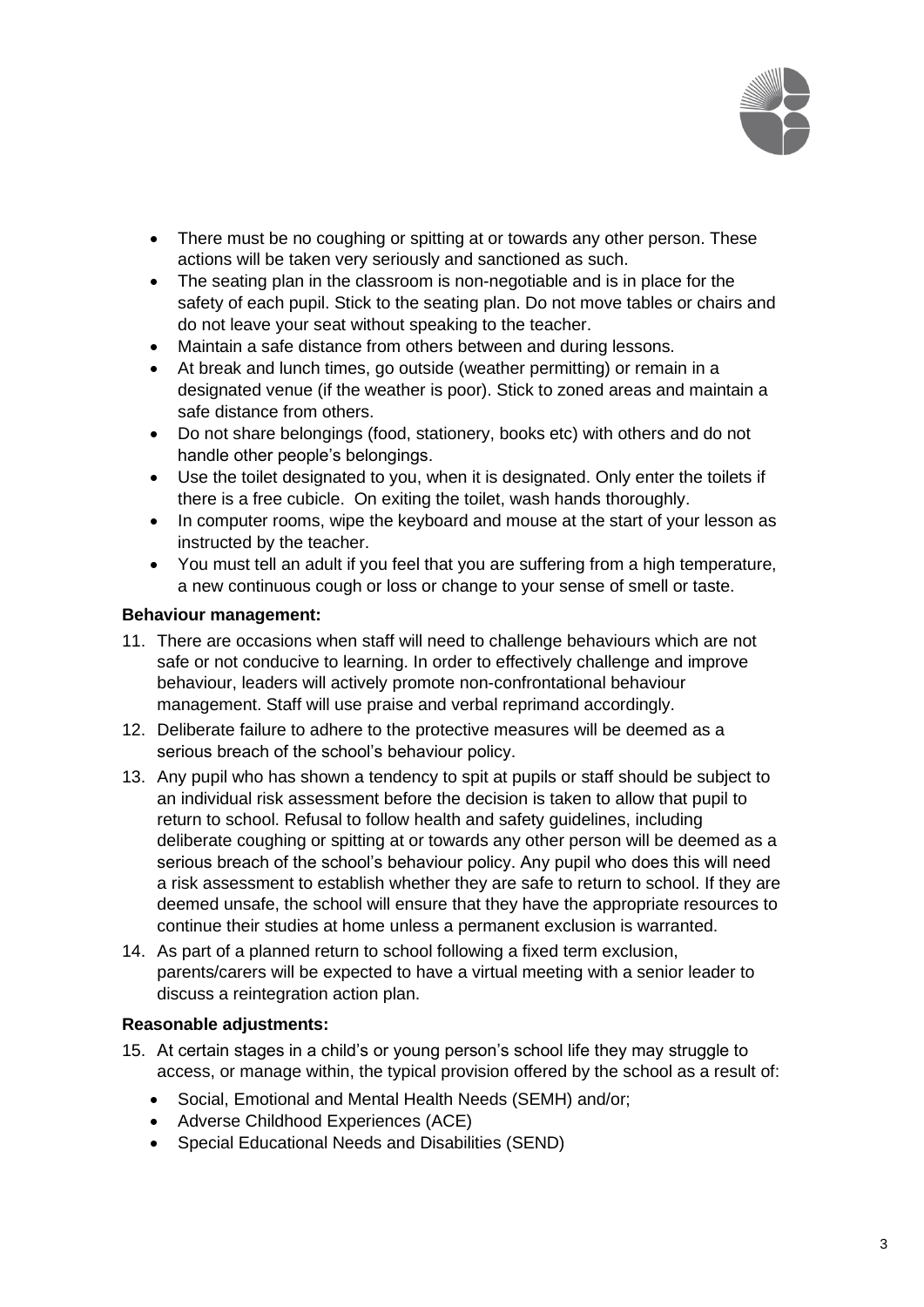

- There must be no coughing or spitting at or towards any other person. These actions will be taken very seriously and sanctioned as such.
- The seating plan in the classroom is non-negotiable and is in place for the safety of each pupil. Stick to the seating plan. Do not move tables or chairs and do not leave your seat without speaking to the teacher.
- Maintain a safe distance from others between and during lessons.
- At break and lunch times, go outside (weather permitting) or remain in a designated venue (if the weather is poor). Stick to zoned areas and maintain a safe distance from others.
- Do not share belongings (food, stationery, books etc) with others and do not handle other people's belongings.
- Use the toilet designated to you, when it is designated. Only enter the toilets if there is a free cubicle. On exiting the toilet, wash hands thoroughly.
- In computer rooms, wipe the keyboard and mouse at the start of your lesson as instructed by the teacher.
- You must tell an adult if you feel that you are suffering from a high temperature, a new continuous cough or loss or change to your sense of smell or taste.

## **Behaviour management:**

- 11. There are occasions when staff will need to challenge behaviours which are not safe or not conducive to learning. In order to effectively challenge and improve behaviour, leaders will actively promote non-confrontational behaviour management. Staff will use praise and verbal reprimand accordingly.
- 12. Deliberate failure to adhere to the [protective measures](https://eur01.safelinks.protection.outlook.com/?url=https%3A%2F%2Fwww.gov.uk%2Fgovernment%2Fpublications%2Fcoronavirus-covid-19-implementing-protective-measures-in-education-and-childcare-settings%2Fcoronavirus-covid-19-implementing-protective-measures-in-education-and-childcare-settings&data=02%7C01%7Callan.glover%40staracademies.org%7C7abd76144b484ec2353308d7fb523d60%7Cad91cba8ab0a41f6ab6243cf47f82197%7C0%7C0%7C637254202946985902&sdata=w%2BqX9ACzfs%2FEhIKlZ2Tj0ShUpJHBOuUKdPrsiLSAzqc%3D&reserved=0) will be deemed as a serious breach of the school's behaviour policy.
- 13. Any pupil who has shown a tendency to spit at pupils or staff should be subject to an individual risk assessment before the decision is taken to allow that pupil to return to school. Refusal to follow health and safety guidelines, including deliberate coughing or spitting at or towards any other person will be deemed as a serious breach of the school's behaviour policy. Any pupil who does this will need a risk assessment to establish whether they are safe to return to school. If they are deemed unsafe, the school will ensure that they have the appropriate resources to continue their studies at home unless a permanent exclusion is warranted.
- 14. As part of a planned return to school following a fixed term exclusion, parents/carers will be expected to have a virtual meeting with a senior leader to discuss a reintegration action plan.

## **Reasonable adjustments:**

- 15. At certain stages in a child's or young person's school life they may struggle to access, or manage within, the typical provision offered by the school as a result of:
	- Social, Emotional and Mental Health Needs (SEMH) and/or;
	- Adverse Childhood Experiences (ACE)
	- Special Educational Needs and Disabilities (SEND)